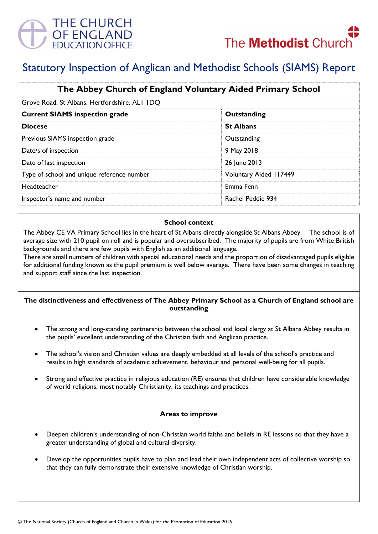

# Statutory Inspection of Anglican and Methodist Schools (SIAMS) Report

| The Abbey Church of England Voluntary Aided Primary School<br>Grove Road, St Albans, Hertfordshire, ALI IDQ |                        |
|-------------------------------------------------------------------------------------------------------------|------------------------|
|                                                                                                             |                        |
| <b>Diocese</b>                                                                                              | <b>St Albans</b>       |
| Previous SIAMS inspection grade                                                                             | Outstanding            |
| Date/s of inspection                                                                                        | 9 May 2018             |
| Date of last inspection                                                                                     | 26 June 2013           |
| Type of school and unique reference number                                                                  | Voluntary Aided 117449 |
| Headteacher                                                                                                 | Emma Fenn              |
| Inspector's name and number                                                                                 | Rachel Peddie 934      |

## School context

The Abbey CE VA Primary School lies in the heart of St Albans directly alongside St Albans Abbey. The school is of average size with 210 pupil on roll and is popular and oversubscribed. The majority of pupils are from White British backgrounds and there are few pupils with English as an additional language.

There are small numbers of children with special educational needs and the proportion of disadvantaged pupils eligible for additional funding known as the pupil premium is well below average. There have been some changes in teaching and support staff since the last inspection.

## The distinctiveness and effectiveness of The Abbey Primary School as a Church of England school are outstanding

- The strong and long-standing partnership between the school and local clergy at St Albans Abbey results in the pupils' excellent understanding of the Christian faith and Anglican practice.
- The school's vision and Christian values are deeply embedded at all levels of the school's practice and results in high standards of academic achievement, behaviour and personal well-being for all pupils.
- Strong and effective practice in religious education (RE) ensures that children have considerable knowledge of world religions, most notably Christianity, its teachings and practices.

### Areas to improve

- Deepen children's understanding of non-Christian world faiths and beliefs in RE lessons so that they have a greater understanding of global and cultural diversity.
- Develop the opportunities pupils have to plan and lead their own independent acts of collective worship so that they can fully demonstrate their extensive knowledge of Christian worship.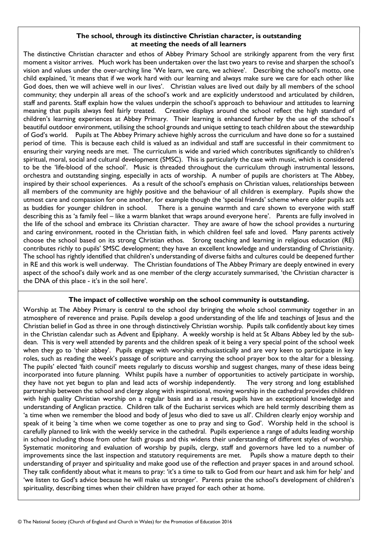### The school, through its distinctive Christian character, is outstanding at meeting the needs of all learners

The distinctive Christian character and ethos of Abbey Primary School are strikingly apparent from the very first moment a visitor arrives. Much work has been undertaken over the last two years to revise and sharpen the school's vision and values under the over-arching line 'We learn, we care, we achieve'. Describing the school's motto, one child explained, 'it means that if we work hard with our learning and always make sure we care for each other like God does, then we will achieve well in our lives'. Christian values are lived out daily by all members of the school community; they underpin all areas of the school's work and are explicitly understood and articulated by children, staff and parents. Staff explain how the values underpin the school's approach to behaviour and attitudes to learning meaning that pupils always feel fairly treated. Creative displays around the school reflect the high standard of children's learning experiences at Abbey Primary. Their learning is enhanced further by the use of the school's beautiful outdoor environment, utilising the school grounds and unique setting to teach children about the stewardship of God's world. Pupils at The Abbey Primary achieve highly across the curriculum and have done so for a sustained period of time. This is because each child is valued as an individual and staff are successful in their commitment to ensuring their varying needs are met. The curriculum is wide and varied which contributes significantly to children's spiritual, moral, social and cultural development (SMSC). This is particularly the case with music, which is considered to be the 'life-blood of the school'. Music is threaded throughout the curriculum through instrumental lessons, orchestra and outstanding singing, especially in acts of worship. A number of pupils are choristers at The Abbey, inspired by their school experiences. As a result of the school's emphasis on Christian values, relationships between all members of the community are highly positive and the behaviour of all children is exemplary. Pupils show the utmost care and compassion for one another, for example though the 'special friends' scheme where older pupils act as buddies for younger children in school. There is a genuine warmth and care shown to everyone with staff describing this as 'a family feel – like a warm blanket that wraps around everyone here'. Parents are fully involved in the life of the school and embrace its Christian character. They are aware of how the school provides a nurturing and caring environment, rooted in the Christian faith, in which children feel safe and loved. Many parents actively choose the school based on its strong Christian ethos. Strong teaching and learning in religious education (RE) contributes richly to pupils' SMSC development; they have an excellent knowledge and understanding of Christianity. The school has rightly identified that children's understanding of diverse faiths and cultures could be deepened further in RE and this work is well underway. The Christian foundations of The Abbey Primary are deeply entwined in every aspect of the school's daily work and as one member of the clergy accurately summarised, 'the Christian character is the DNA of this place - it's in the soil here'.

### The impact of collective worship on the school community is outstanding.

Worship at The Abbey Primary is central to the school day bringing the whole school community together in an atmosphere of reverence and praise. Pupils develop a good understanding of the life and teachings of Jesus and the Christian belief in God as three in one through distinctively Christian worship. Pupils talk confidently about key times in the Christian calendar such as Advent and Epiphany. A weekly worship is held at St Albans Abbey led by the subdean. This is very well attended by parents and the children speak of it being a very special point of the school week when they go to 'their abbey'. Pupils engage with worship enthusiastically and are very keen to participate in key roles, such as reading the week's passage of scripture and carrying the school prayer box to the altar for a blessing. The pupils' elected 'faith council' meets regularly to discuss worship and suggest changes, many of these ideas being incorporated into future planning. Whilst pupils have a number of opportunities to actively participate in worship, they have not yet begun to plan and lead acts of worship independently. The very strong and long established partnership between the school and clergy along with inspirational, moving worship in the cathedral provides children with high quality Christian worship on a regular basis and as a result, pupils have an exceptional knowledge and understanding of Anglican practice. Children talk of the Eucharist services which are held termly describing them as 'a time when we remember the blood and body of Jesus who died to save us all'. Children clearly enjoy worship and speak of it being 'a time when we come together as one to pray and sing to God'. Worship held in the school is carefully planned to link with the weekly service in the cathedral. Pupils experience a range of adults leading worship in school including those from other faith groups and this widens their understanding of different styles of worship. Systematic monitoring and evaluation of worship by pupils, clergy, staff and governors have led to a number of improvements since the last inspection and statutory requirements are met. Pupils show a mature depth to their understanding of prayer and spirituality and make good use of the reflection and prayer spaces in and around school. They talk confidently about what it means to pray: 'it's a time to talk to God from our heart and ask him for help' and 'we listen to God's advice because he will make us stronger'. Parents praise the school's development of children's spirituality, describing times when their children have prayed for each other at home.